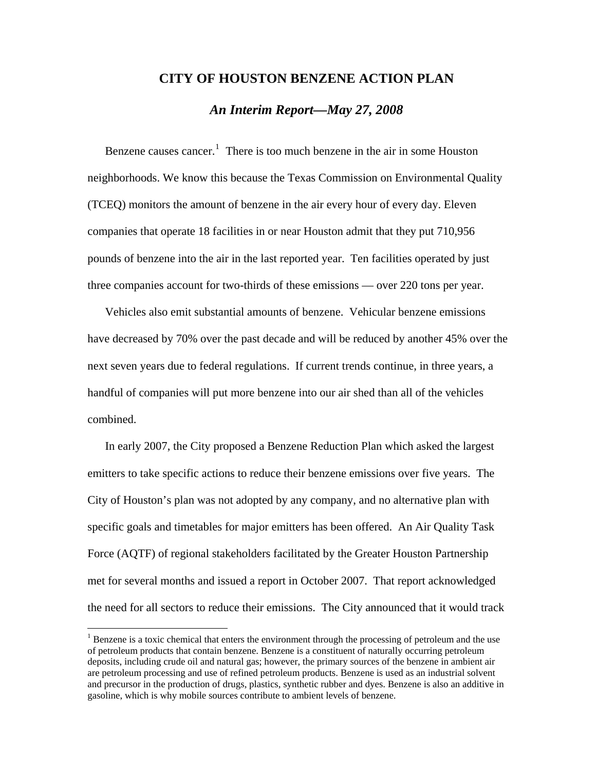## **CITY OF HOUSTON BENZENE ACTION PLAN**

# *An Interim Report—May 27, 2008*

Benzene causes cancer.<sup>[1](#page-0-0)</sup> There is too much benzene in the air in some Houston neighborhoods. We know this because the Texas Commission on Environmental Quality (TCEQ) monitors the amount of benzene in the air every hour of every day. Eleven companies that operate 18 facilities in or near Houston admit that they put 710,956 pounds of benzene into the air in the last reported year. Ten facilities operated by just three companies account for two-thirds of these emissions — over 220 tons per year.

Vehicles also emit substantial amounts of benzene. Vehicular benzene emissions have decreased by 70% over the past decade and will be reduced by another 45% over the next seven years due to federal regulations. If current trends continue, in three years, a handful of companies will put more benzene into our air shed than all of the vehicles combined.

In early 2007, the City proposed a Benzene Reduction Plan which asked the largest emitters to take specific actions to reduce their benzene emissions over five years. The City of Houston's plan was not adopted by any company, and no alternative plan with specific goals and timetables for major emitters has been offered. An Air Quality Task Force (AQTF) of regional stakeholders facilitated by the Greater Houston Partnership met for several months and issued a report in October 2007. That report acknowledged the need for all sectors to reduce their emissions. The City announced that it would track

 $\overline{a}$ 

<span id="page-0-0"></span> $1$  Benzene is a toxic chemical that enters the environment through the processing of petroleum and the use of petroleum products that contain benzene. Benzene is a constituent of naturally occurring petroleum deposits, including crude oil and natural gas; however, the primary sources of the benzene in ambient air are petroleum processing and use of refined petroleum products. Benzene is used as an industrial solvent and precursor in the production of drugs, plastics, synthetic rubber and dyes. Benzene is also an additive in gasoline, which is why mobile sources contribute to ambient levels of benzene.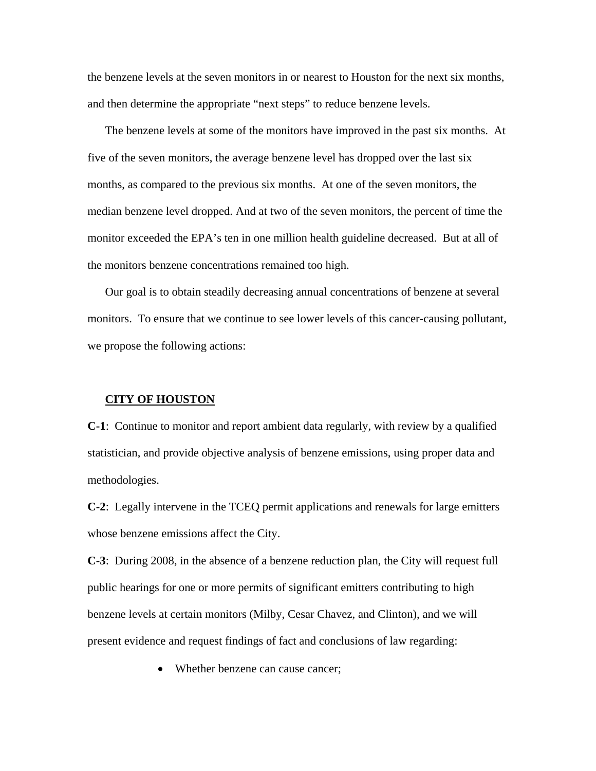the benzene levels at the seven monitors in or nearest to Houston for the next six months, and then determine the appropriate "next steps" to reduce benzene levels.

The benzene levels at some of the monitors have improved in the past six months. At five of the seven monitors, the average benzene level has dropped over the last six months, as compared to the previous six months. At one of the seven monitors, the median benzene level dropped. And at two of the seven monitors, the percent of time the monitor exceeded the EPA's ten in one million health guideline decreased. But at all of the monitors benzene concentrations remained too high.

Our goal is to obtain steadily decreasing annual concentrations of benzene at several monitors. To ensure that we continue to see lower levels of this cancer-causing pollutant, we propose the following actions:

#### **CITY OF HOUSTON**

**C-1**: Continue to monitor and report ambient data regularly, with review by a qualified statistician, and provide objective analysis of benzene emissions, using proper data and methodologies.

**C-2**: Legally intervene in the TCEQ permit applications and renewals for large emitters whose benzene emissions affect the City.

**C-3**: During 2008, in the absence of a benzene reduction plan, the City will request full public hearings for one or more permits of significant emitters contributing to high benzene levels at certain monitors (Milby, Cesar Chavez, and Clinton), and we will present evidence and request findings of fact and conclusions of law regarding:

• Whether benzene can cause cancer: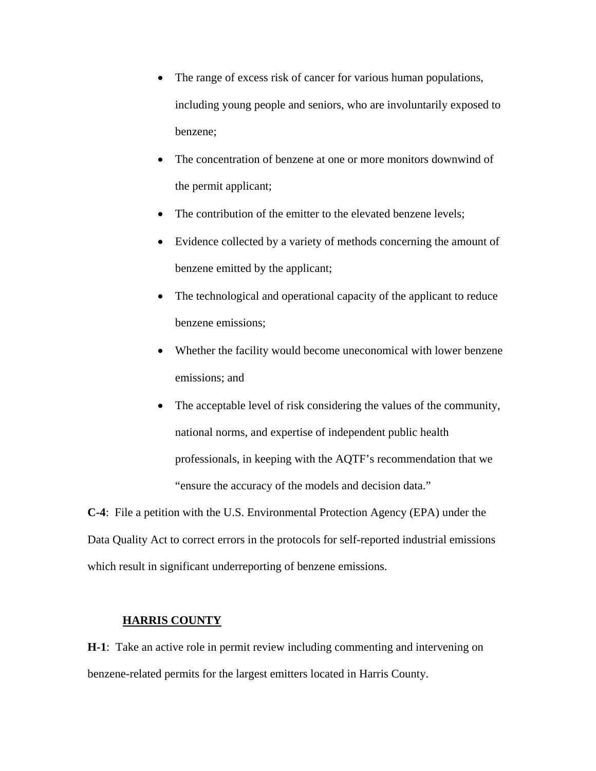- The range of excess risk of cancer for various human populations, including young people and seniors, who are involuntarily exposed to benzene;
- The concentration of benzene at one or more monitors downwind of the permit applicant;
- The contribution of the emitter to the elevated benzene levels;
- Evidence collected by a variety of methods concerning the amount of benzene emitted by the applicant;
- The technological and operational capacity of the applicant to reduce benzene emissions;
- Whether the facility would become uneconomical with lower benzene emissions; and
- The acceptable level of risk considering the values of the community, national norms, and expertise of independent public health professionals, in keeping with the AQTF's recommendation that we "ensure the accuracy of the models and decision data."

**C-4**: File a petition with the U.S. Environmental Protection Agency (EPA) under the Data Quality Act to correct errors in the protocols for self-reported industrial emissions which result in significant underreporting of benzene emissions.

## **HARRIS COUNTY**

**H-1**: Take an active role in permit review including commenting and intervening on benzene-related permits for the largest emitters located in Harris County.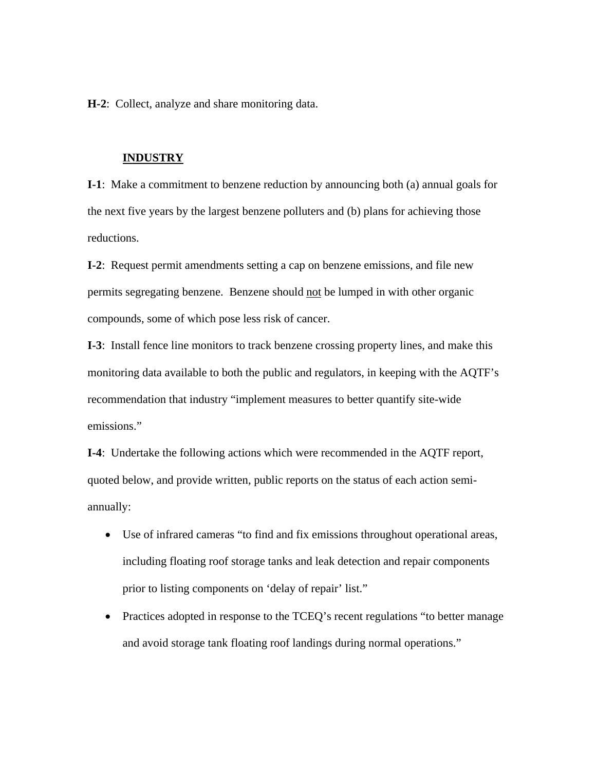**H-2**: Collect, analyze and share monitoring data.

#### **INDUSTRY**

**I-1**: Make a commitment to benzene reduction by announcing both (a) annual goals for the next five years by the largest benzene polluters and (b) plans for achieving those reductions.

**I-2**: Request permit amendments setting a cap on benzene emissions, and file new permits segregating benzene. Benzene should not be lumped in with other organic compounds, some of which pose less risk of cancer.

**I-3**: Install fence line monitors to track benzene crossing property lines, and make this monitoring data available to both the public and regulators, in keeping with the AQTF's recommendation that industry "implement measures to better quantify site-wide emissions."

**I-4**: Undertake the following actions which were recommended in the AQTF report, quoted below, and provide written, public reports on the status of each action semiannually:

- Use of infrared cameras "to find and fix emissions throughout operational areas, including floating roof storage tanks and leak detection and repair components prior to listing components on 'delay of repair' list."
- Practices adopted in response to the TCEQ's recent regulations "to better manage" and avoid storage tank floating roof landings during normal operations."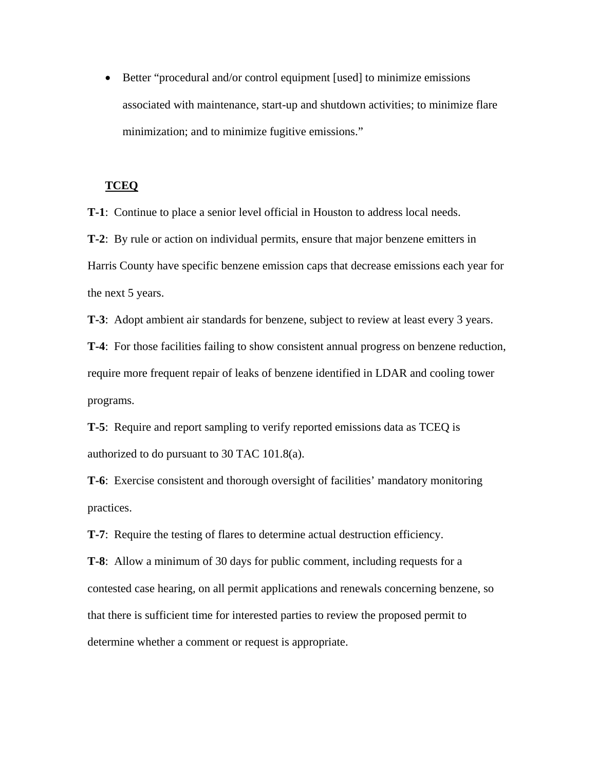• Better "procedural and/or control equipment [used] to minimize emissions associated with maintenance, start-up and shutdown activities; to minimize flare minimization; and to minimize fugitive emissions."

## **TCEQ**

**T-1**: Continue to place a senior level official in Houston to address local needs.

**T-2**: By rule or action on individual permits, ensure that major benzene emitters in Harris County have specific benzene emission caps that decrease emissions each year for the next 5 years.

**T-3**: Adopt ambient air standards for benzene, subject to review at least every 3 years.

**T-4**: For those facilities failing to show consistent annual progress on benzene reduction, require more frequent repair of leaks of benzene identified in LDAR and cooling tower programs.

**T-5**: Require and report sampling to verify reported emissions data as TCEQ is authorized to do pursuant to 30 TAC 101.8(a).

**T-6**: Exercise consistent and thorough oversight of facilities' mandatory monitoring practices.

**T-7**: Require the testing of flares to determine actual destruction efficiency.

**T-8**: Allow a minimum of 30 days for public comment, including requests for a contested case hearing, on all permit applications and renewals concerning benzene, so that there is sufficient time for interested parties to review the proposed permit to determine whether a comment or request is appropriate.